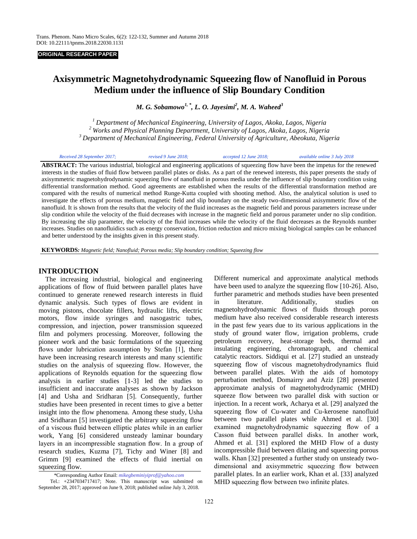**ORIGINAL RESEARCH PAPER**

DOI: 10.

# **Axisymmetric Magnetohydrodynamic Squeezing flow of Nanofluid in Porous Medium under the influence of Slip Boundary Condition**

*M. G. Sobamowo1, \* , L. O. Jayesimi<sup>2</sup> , M. A. Waheed<sup>3</sup>*

*<sup>1</sup> Department of Mechanical Engineering, University of Lagos, Akoka, Lagos, Nigeria <sup>2</sup> Works and Physical Planning Department, University of Lagos, Akoka, Lagos, Nigeria <sup>3</sup> Department of Mechanical Engineering, Federal University of Agriculture, Abeokuta, Nigeria*

| Received 28 September 2017: | revised 9 June 2018: | accepted 12 June 2018: | available online 3 July 2018 |
|-----------------------------|----------------------|------------------------|------------------------------|
|-----------------------------|----------------------|------------------------|------------------------------|

**ABSTRACT:** The various industrial, biological and engineering applications of squeezing flow have been the impetus for the renewed interests in the studies of fluid flow between parallel plates or disks. As a part of the renewed interests, this paper presents the study of axisymmetric magnetohydrodynamic squeezing flow of nanofluid in porous media under the influence of slip boundary condition using differential transformation method. Good agreements are established when the results of the differential transformation method are compared with the results of numerical method Runge-Kutta coupled with shooting method. Also, the analytical solution is used to investigate the effects of porous medium, magnetic field and slip boundary on the steady two-dimensional axisymmetric flow of the nanofluid. It is shown from the results that the velocity of the fluid increases as the magnetic field and porous parameters increase under slip condition while the velocity of the fluid decreases with increase in the magnetic field and porous parameter under no slip condition. By increasing the slip parameter, the velocity of the fluid increases while the velocity of the fluid decreases as the Reynolds number increases. Studies on nanofluidics such as energy conservation, friction reduction and micro mixing biological samples can be enhanced and better understood by the insights given in this present study.

**KEYWORDS***: Magnetic field; Nanofluid; Porous media; Slip boundary condition; Squeezing flow*

#### **INTRODUCTION**

 The increasing industrial, biological and engineering applications of flow of fluid between parallel plates have continued to generate renewed research interests in fluid dynamic analysis. Such types of flows are evident in moving pistons, chocolate fillers, hydraulic lifts, electric motors, flow inside syringes and nasogastric tubes, compression, and injection, power transmission squeezed film and polymers processing. Moreover, following the pioneer work and the basic formulations of the squeezing flows under lubrication assumption by Stefan [1], there have been increasing research interests and many scientific studies on the analysis of squeezing flow. However, the applications of Reynolds equation for the squeezing flow analysis in earlier studies [1-3] led the studies to insufficient and inaccurate analyses as shown by Jackson [4] and Usha and Sridharan [5]. Consequently, further studies have been presented in recent times to give a better insight into the flow phenomena. Among these study, Usha and Sridharan [5] investigated the arbitrary squeezing flow of a viscous fluid between elliptic plates while in an earlier work, Yang [6] considered unsteady laminar boundary layers in an incompressible stagnation flow. In a group of research studies, Kuzma [7], Tichy and Winer [8] and Grimm [9] examined the effects of fluid inertial on squeezing flow.

… \*Corresponding Author Email: *mikegbeminiyiprof@yahoo.com*

 Tel.: +2347034717417; Note. This manuscript was submitted on September 28, 2017; approved on June 9, 2018; published online July 3, 2018.

Different numerical and approximate analytical methods have been used to analyze the squeezing flow [10-26]. Also, further parametric and methods studies have been presented in literature. Additionally, studies on magnetohydrodynamic flows of fluids through porous medium have also received considerable research interests in the past few years due to its various applications in the study of ground water flow, irrigation problems, crude petroleum recovery, heat-storage beds, thermal and insulating engineering, chromatograph, and chemical catalytic reactors. Siddiqui et al. [27] studied an unsteady squeezing flow of viscous magnetohydrodynamics fluid between parallel plates. With the aids of homotopy perturbation method, Domairry and Aziz [28] presented approximate analysis of magnetohydrodynamic (MHD) squeeze flow between two parallel disk with suction or injection. In a recent work, Acharya et al. [29] analyzed the squeezing flow of Cu-water and Cu-kerosene nanofluid between two parallel plates while Ahmed et al. [30] examined magnetohydrodynamic squeezing flow of a Casson fluid between parallel disks. In another work, Ahmed et al. [31] explored the MHD Flow of a dusty incompressible fluid between dilating and squeezing porous walls. Khan [32] presented a further study on unsteady twodimensional and axisymmetric squeezing flow between parallel plates. In an earlier work, Khan et al. [33] analyzed MHD squeezing flow between two infinite plates.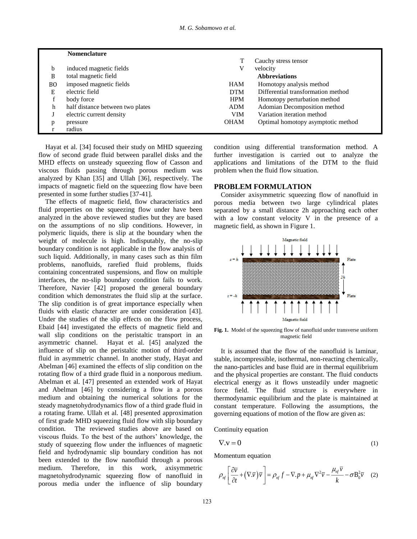|               | <b>Nomenclature</b>              |             |                                    |
|---------------|----------------------------------|-------------|------------------------------------|
|               |                                  |             | Cauchy stress tensor               |
| b             | induced magnetic fields          | V           | velocity                           |
| B             | total magnetic field             |             | <b>Abbreviations</b>               |
| <sub>BO</sub> | imposed magnetic fields          | HAM         | Homotopy analysis method           |
| Е             | electric field                   | <b>DTM</b>  | Differential transformation method |
|               | body force                       | <b>HPM</b>  | Homotopy perturbation method       |
| h             | half distance between two plates | ADM         | Adomian Decomposition method       |
|               | electric current density         | <b>VIM</b>  | Variation iteration method         |
| D             | pressure                         | <b>OHAM</b> | Optimal homotopy asymptotic method |
|               | radius                           |             |                                    |

 Hayat et al. [34] focused their study on MHD squeezing flow of second grade fluid between parallel disks and the MHD effects on unsteady squeezing flow of Casson and viscous fluids passing through porous medium was analyzed by Khan [35] and Ullah [36], respectively. The impacts of magnetic field on the squeezing flow have been presented in some further studies [37-41].

 The effects of magnetic field, flow characteristics and fluid properties on the squeezing flow under have been analyzed in the above reviewed studies but they are based on the assumptions of no slip conditions. However, in polymeric liquids, there is slip at the boundary when the weight of molecule is high. Indisputably, the no-slip boundary condition is not applicable in the flow analysis of such liquid. Additionally, in many cases such as thin film problems, nanofluids, rarefied fluid problems, fluids containing concentrated suspensions, and flow on multiple interfaces, the no-slip boundary condition fails to work. Therefore, Navier [42] proposed the general boundary condition which demonstrates the fluid slip at the surface. The slip condition is of great importance especially when fluids with elastic character are under consideration [43]. Under the studies of the slip effects on the flow process, Ebaid [44] investigated the effects of magnetic field and wall slip conditions on the peristaltic transport in an asymmetric channel. Hayat et al. [45] analyzed the influence of slip on the peristaltic motion of third-order fluid in asymmetric channel. In another study, Hayat and Abelman [46] examined the effects of slip condition on the rotating flow of a third grade fluid in a nonporous medium. Abelman et al. [47] presented an extended work of Hayat and Abelman [46] by considering a flow in a porous medium and obtaining the numerical solutions for the steady magnetohydrodynamics flow of a third grade fluid in a rotating frame. Ullah et al. [48] presented approximation of first grade MHD squeezing fluid flow with slip boundary condition. The reviewed studies above are based on viscous fluids. To the best of the authors' knowledge, the study of squeezing flow under the influences of magnetic field and hydrodynamic slip boundary condition has not been extended to the flow nanofluid through a porous medium. Therefore, in this work, axisymmetric magnetohydrodynamic squeezing flow of nanofluid in porous media under the influence of slip boundary

condition using differential transformation method. A further investigation is carried out to analyze the applications and limitations of the DTM to the fluid problem when the fluid flow situation.

## **PROBLEM FORMULATION**

 Consider axisymmetric squeezing flow of nanofluid in porous media between two large cylindrical plates separated by a small distance 2h approaching each other with a low constant velocity V in the presence of a magnetic field, as shown in Figure 1.



Fig. 1. Model of the squeezing flow of nanofluid under transverse uniform magnetic field

 It is assumed that the flow of the nanofluid is laminar, stable, incompressible, isothermal, non-reacting chemically, the nano-particles and base fluid are in thermal equilibrium and the physical properties are constant. The fluid conducts electrical energy as it flows unsteadily under magnetic force field. The fluid structure is everywhere in thermodynamic equilibrium and the plate is maintained at constant temperature. Following the assumptions, the governing equations of motion of the flow are given as:

Continuity equation

$$
\nabla \cdot \mathbf{v} = 0 \tag{1}
$$

Momentum equation

$$
\rho_{nf} \left[ \frac{\partial \overline{v}}{\partial t} + (\nabla \cdot \overline{v}) \overline{v} \right] = \rho_{nf} f - \nabla \cdot p + \mu_{nf} \nabla^2 \overline{v} - \frac{\mu_{nf} \overline{v}}{k} - \sigma \mathbf{B}_0^2 \overline{v} \quad (2)
$$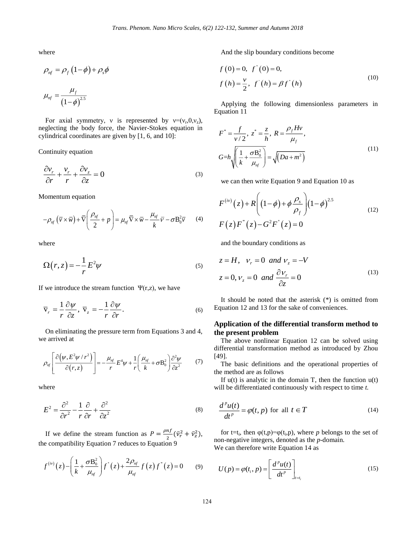where

$$
\rho_{nf} = \rho_f (1 - \phi) + \rho_s \phi
$$

$$
\mu_{nf} = \frac{\mu_f}{(1 - \phi)^{2.5}}
$$

For axial symmetry, v is represented by  $v=(v_r,0,v_z)$ , neglecting the body force, the Navier-Stokes equation in cylindrical coordinates are given by [1, 6, and 10]:

Continuity equation

$$
\frac{\partial v_r}{\partial r} + \frac{v_r}{r} + \frac{\partial v_z}{\partial z} = 0
$$
 (3)

Momentum equation

$$
-\rho_{n f}\left(\overline{v}\times\overline{w}\right)+\overline{\nabla}\left(\frac{\rho_{n f}}{2}+p\right)=\mu_{n f}\overline{\nabla}\times\overline{w}-\frac{\mu_{n f}}{k}\overline{v}-\sigma\mathbf{B}_0^2\overline{v}\qquad(4)
$$

where

$$
\Omega(r,z) = -\frac{1}{r}E^2\psi\tag{5}
$$

If we introduce the stream function  $\Psi(r, z)$ , we have

$$
\overline{\mathbf{v}}_r = \frac{1}{r} \frac{\partial \psi}{\partial z}, \ \overline{\mathbf{v}}_z = -\frac{1}{r} \frac{\partial \psi}{\partial r}.
$$
 (6)

 On eliminating the pressure term from Equations 3 and 4, we arrived at

$$
\rho_{nf} \left[ \frac{\partial (\psi, E^2 \psi / r^2)}{\partial (r, z)} \right] = -\frac{\mu_{nf}}{r} E^4 \psi + \frac{1}{r} \left( \frac{\mu_{nf}}{k} + \sigma B_0^2 \right) \frac{\partial^2 \psi}{\partial z^2} \tag{7}
$$

where

$$
E^2 = \frac{\partial^2}{\partial r^2} - \frac{1}{r} \frac{\partial}{\partial r} + \frac{\partial^2}{\partial z^2}
$$
 (8)

If we define the stream function as  $P = \frac{\rho}{\rho}$  $\frac{n_f}{2}(\bar{v}_r^2+\bar{v}_z^2),$ the compatibility Equation 7 reduces to Equation 9

$$
f^{(iv)}(z) - \left(\frac{1}{k} + \frac{\sigma B_0^2}{\mu_{nf}}\right) f^{(z)}(z) + \frac{2\rho_{nf}}{\mu_{nf}} f(z) f^{(z)}(z) = 0 \qquad (9)
$$

And the slip boundary conditions become

$$
f(0) = 0, f'(0) = 0,f(h) = \frac{v}{2}, f(h) = \beta f'(h)
$$
\n(10)

 Applying the following dimensionless parameters in Equation 11

$$
F^* = \frac{f}{\nu/2}, \ z^* = \frac{z}{h}, \ R = \frac{\rho_f H \nu}{\mu_f},
$$
  
\n
$$
G = h \sqrt{\left(\frac{1}{k} + \frac{\sigma B_0^2}{\mu_{hf}}\right)} = \sqrt{(Da + m^2)}
$$
\n(11)

we can then write Equation 9 and Equation 10 as

$$
F^{(iv)}(z) + R\left((1-\phi) + \phi \frac{\rho_s}{\rho_f}\right) (1-\phi)^{2.5}
$$
  
\n
$$
F(z)F^{(iv)}(z) - G^2F^{(iv)}(z) = 0
$$
\n(12)

and the boundary conditions as

$$
z = H, \quad v_r = 0 \quad and \quad v_z = -V
$$
  

$$
z = 0, v_z = 0 \quad and \quad \frac{\partial v_r}{\partial z} = 0
$$
 (13)

 It should be noted that the asterisk (\*) is omitted from Equation 12 and 13 for the sake of conveniences.

## **Application of the differential transform method to the present problem**

 The above nonlinear Equation 12 can be solved using differential transformation method as introduced by Zhou [49].

 The basic definitions and the operational properties of the method are as follows

If  $u(t)$  is analytic in the domain T, then the function  $u(t)$ will be differentiated continuously with respect to time *t.*

$$
\frac{d^p u(t)}{dt^p} = \varphi(t, p) \text{ for all } t \in T
$$
 (14)

for t=t<sub>i</sub>, then  $\varphi(t, p) = \varphi(t_i, p)$ , where *p* belongs to the set of non-negative integers, denoted as the *p*-domain. We can therefore write Equation 14 as

$$
U(p) = \varphi(t_i, p) = \left[\frac{d^p u(t)}{dt^p}\right]_{t=t_i}
$$
 (15)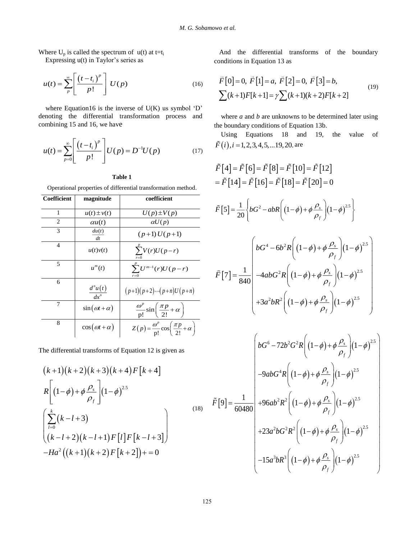Where  $U_p$  is called the spectrum of  $u(t)$  at t=t<sub>i</sub> Expressing u(t) in Taylor's series as

$$
u(t) = \sum_{p}^{\infty} \left[ \frac{\left(t - t_i\right)^p}{p!} \right] U(p) \tag{16}
$$

 where Equation16 is the inverse of U(K) us symbol 'D' denoting the differential transformation process and combining 15 and 16, we have

$$
u(t) = \sum_{p=0}^{\infty} \left[ \frac{(t - t_i)^p}{p!} \right] U(p) = D^{-1} U(p)
$$
 (17)

#### **Table 1**

Operational properties of differential transformation method.

| Coefficient    | magnitude                                   | coefficient                                                                |
|----------------|---------------------------------------------|----------------------------------------------------------------------------|
| 1              | $u(t) \pm v(t)$                             | $U(p) \pm V(p)$                                                            |
| 2              | $\alpha u(t)$                               | $\alpha U(p)$                                                              |
| 3              | du(t)<br>dt                                 | $(p+1)U(p+1)$                                                              |
| $\overline{4}$ | u(t)v(t)                                    | $\sum V(r)U(p-r)$                                                          |
| 5              | $u^m(t)$                                    | $\sum_{r=0}^{r} U^{m-1}(r)U(p-r)$                                          |
| 6              | $\frac{d^n u(t)}{dt}$<br>$d^{\overline{r}}$ | $(p+1)(p+2)\cdots(p+n)U(p+n)$                                              |
| 7              | $\sin(\omega t + \alpha)$                   | $\frac{\omega^p}{p!} \sin\left(\frac{\pi p}{2!} + \alpha\right)$           |
| 8              | $\cos(\omega t + \alpha)$                   | $Z(p) = \frac{\omega^p}{n!} \cos \left( \frac{\pi p}{2!} + \alpha \right)$ |

The differential transforms of Equation 12 is given as

$$
(k+1)(k+2)(k+3)(k+4)F[k+4]
$$
\n
$$
R\left[(1-\phi)+\phi\frac{\rho_s}{\rho_f}\right](1-\phi)^{2.5}
$$
\n
$$
\left(\sum_{l=0}^{k} (k-l+3)\right) (k-l+1)F[l]F[k-l+3]
$$
\n
$$
-Ha^2((k+1)(k+2)F[k+2]) = 0
$$
\n(18)

 And the differential transforms of the boundary conditions in Equation 13 as

$$
\tilde{F}[0] = 0, \ \tilde{F}[1] = a, \ \tilde{F}[2] = 0, \ \tilde{F}[3] = b,
$$
\n
$$
\sum (k+1)F[k+1] = \gamma \sum (k+1)(k+2)F[k+2]
$$
\n(19)

 where *a* and *b* are unknowns to be determined later using the boundary conditions of Equation 13b.

 Using Equations 18 and 19, the value of  $\tilde{F}(i), i = 1, 2, 3, 4, 5, \dots$  19, 20. are

$$
\tilde{F}[4] = \tilde{F}[6] = \tilde{F}[8] = \tilde{F}[10] = \tilde{F}[12]
$$
\n
$$
= \tilde{F}[14] = \tilde{F}[16] = \tilde{F}[18] = \tilde{F}[20] = 0
$$
\n
$$
\tilde{F}[5] = \frac{1}{20} \left\{ bG^2 - abR \left( (1 - \phi) + \phi \frac{\rho_s}{\rho_f} \right) (1 - \phi)^{2.5} \right\}
$$
\n
$$
\left\{ bG^4 - 6b^2R \left( (1 - \phi) + \phi \frac{\rho_s}{\rho_f} \right) (1 - \phi)^{2.5} \right\}
$$
\n
$$
\tilde{F}[5] = \frac{1}{20} \left\{ bG^4 - 6b^2R \left( (1 - \phi) + \phi \frac{\rho_s}{\rho_f} \right) (1 - \phi)^{2.5} \right\}
$$

$$
\tilde{F}[7] = \frac{1}{840} \begin{bmatrix} -4abG^2R\left((1-\phi)+\phi\frac{\rho_s}{\rho_f}\right)(1-\phi)^{2.5} \\ +3a^2bR^2\left((1-\phi)+\phi\frac{\rho_s}{\rho_f}\right)(1-\phi)^{2.5} \end{bmatrix}
$$

$$
\tilde{F}[9] = \frac{1}{60480} \begin{pmatrix} bG^6 - 72b^2G^2R \left( (1 - \phi) + \phi \frac{\rho_s}{\rho_f} \right) (1 - \phi)^{2.5} \\ -9abG^4R \left( (1 - \phi) + \phi \frac{\rho_s}{\rho_f} \right) (1 - \phi)^{2.5} \\ +96ab^2R^2 \left( (1 - \phi) + \phi \frac{\rho_s}{\rho_f} \right) (1 - \phi)^{2.5} \\ +23a^2bG^2R^2 \left( (1 - \phi) + \phi \frac{\rho_s}{\rho_f} \right) (1 - \phi)^{2.5} \\ -15a^3bR^3 \left( (1 - \phi) + \phi \frac{\rho_s}{\rho_f} \right) (1 - \phi)^{2.5} \end{pmatrix}
$$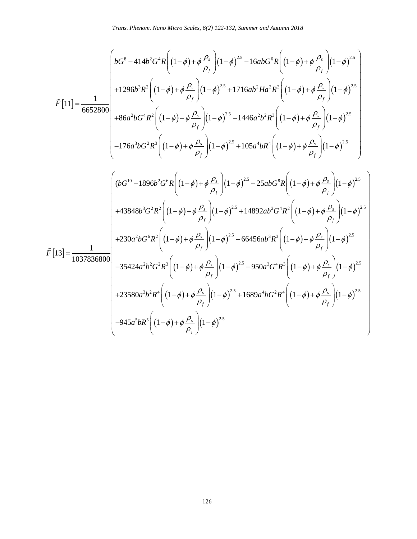Trans. Phenom. Nano Micro Scales, 6(2) 122-132, Summer and Autuum 2018  
\n
$$
\vec{F}[11] = \frac{1}{6652800}
$$
\n+1296b<sup>3</sup>R<sup>2</sup>  $\left((1-\phi)+\phi \frac{\rho_{*}}{\rho_{f}}\right) (1-\phi)^{2.5} -16abG^{6}R \left((1-\phi)+\phi \frac{\rho_{*}}{\rho_{f}}\right) (1-\phi)^{2.5}$ \n+1296b<sup>3</sup>R<sup>2</sup>  $\left((1-\phi)+\phi \frac{\rho_{*}}{\rho_{f}}\right) (1-\phi)^{2.5} +1716ab^{2}Ha^{2}R^{2} \left((1-\phi)+\phi \frac{\rho_{*}}{\rho_{f}}\right) (1-\phi)^{2.5}$ \n+86a<sup>2</sup>bG<sup>4</sup>R<sup>2</sup>  $\left((1-\phi)+\phi \frac{\rho_{*}}{\rho_{f}}\right) (1-\phi)^{2.5} -1446a^{2}b^{2}R^{3} \left((1-\phi)+\phi \frac{\rho_{*}}{\rho_{f}}\right) (1-\phi)^{2.5}$ \n-176a<sup>3</sup>bG<sup>2</sup>R<sup>3</sup>  $\left((1-\phi)+\phi \frac{\rho_{*}}{\rho_{f}}\right) (1-\phi)^{2.5} +105a^{4}bR^{4} \left((1-\phi)+\phi \frac{\rho_{*}}{\rho_{f}}\right) (1-\phi)^{2.5}$ \n+43848b<sup>3</sup>G<sup>2</sup>R<sup>3</sup>  $\left((1-\phi)+\phi \frac{\rho_{*}}{\rho_{f}}\right) (1-\phi)^{2.5} -25abG^{8}R \left((1-\phi)+\phi \frac{\rho_{*}}{\rho_{f}}\right) (1-\phi)^{2.5}$ \n+43848b<sup>3</sup>G<sup>2</sup>R<sup>3</sup>  $\left((1-\phi)+\phi \frac{\rho_{*}}{\rho_{f}}\right) (1-\phi)^{2.5} -66456ab^{3}R^{3} \left((1-\phi)+\phi \frac{\rho_{*}}{\rho_{f}}\right) (1-\phi)^{2.5}$ \n+230a<sup>2</sup>bG<sup>4</sup>R<sup>2</sup>  $\left$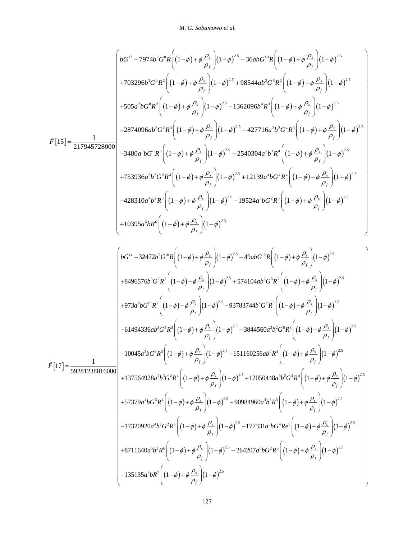$$
\hat{F}[15] = \frac{1}{21794572800}\hat{F}^{3}\hat{F}^{4}\left((1-\phi)+\phi\frac{\rho_{+}}{\rho_{+}}\right)(1-\phi)^{2.5}-36abG^{10}R\left((1-\phi)+\phi\frac{\rho_{+}}{\rho_{+}}\right)(1-\phi)^{2.5}
$$
\n+703296b<sup>2</sup>G<sup>4</sup>R<sup>2</sup> $\left((1-\phi)+\phi\frac{\rho_{+}}{\rho_{+}}\right)(1-\phi)^{2.5}-13620966^{4}R^{3}\left((1-\phi)+\phi\frac{\rho_{+}}{\rho_{+}}\right)(1-\phi)^{2.5}$ \n+505a<sup>2</sup>bG<sup>4</sup>R<sup>2</sup> $\left((1-\phi)+\phi\frac{\rho_{+}}{\rho_{+}}\right)(1-\phi)^{2.5}-13620966^{4}R^{3}\left((1-\phi)+\phi\frac{\rho_{+}}{\rho_{+}}\right)(1-\phi)^{2.5}$ \n-2874096ab<sup>2</sup>G<sup>2</sup>R<sup>3</sup> $\left((1-\phi)+\phi\frac{\rho_{+}}{\rho_{+}}\right)(1-\phi)^{2.5}-427716a^{2}b^{2}G^{4}R^{3}\left((1-\phi)+\phi\frac{\rho_{+}}{\rho_{+}}\right)(1-\phi)^{2.5}$ \n+753936a<sup>3</sup>b<sup>2</sup>G<sup>2</sup>R<sup>4</sup> $\left((1-\phi)+\phi\frac{\rho_{-}}{\rho_{+}}\right)(1-\phi)^{2.5}+12139a^{4}bG^{4}R^{4}\left((1-\phi)+\phi\frac{\rho_{+}}{\rho_{+}}\right)(1-\phi)^{2.5}$ \n+753936a<sup>3</sup>b<sup>2</sup>G<sup>2</sup>R<sup>4</sup> $\left((1-\phi)+\phi\frac{\rho_{-}}{\rho_{+}}\right)(1-\phi)^{2.5}+12139a^{4}bG^{4}R^{4}\left((1-\phi)+\phi\frac{\rho_{+}}{\rho_{+}}\right)(1-\phi)^{2.5}$ \n+10395a<sup>4</sup>bR<sup>5</sup> $\left((1-\phi)+\phi\frac{\rho_{+}}{\rho_{+}}\right)(1-\phi$ 

I I I I İ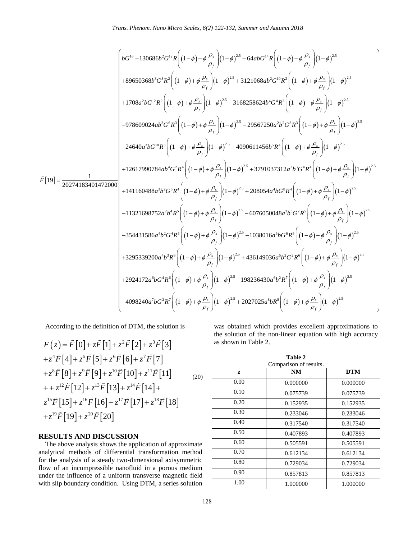Trans. Phenom. Nano Micro Scales, 6(2) 122-132, Summer and Autumu 2018  
\n
$$
\left[ bG^{16}-130686b^2G^{12}R \left[ (1-\phi)+\phi \frac{D_+}{\rho_f} \right] (1-\phi)^{2.5}-64abG^{16}R \left[ (1-\phi)+\phi \frac{D_+}{\rho_f} \right] (1-\phi)^{2.5}
$$
\n
$$
+89650368b^2G^8R^5 \left[ (1-\phi)+\phi \frac{D_+}{\rho_f} \right] (1-\phi)^{2.5}+3121068ab^2G^{18}R^5 \left[ (1-\phi)+\phi \frac{D_+}{\rho_f} \right] (1-\phi)^{2.5}
$$
\n
$$
+1708a^2bG^{12}R^5 \left[ (1-\phi)+\phi \frac{D_+}{\rho_f} \right] (1-\phi)^{2.5}-3168258624b^4G^4R^5 \left[ (1-\phi)+\phi \frac{D_+}{\rho_f} \right] (1-\phi)^{2.5}
$$
\n
$$
-978609024ab^3G^8R^5 \left[ (1-\phi)+\phi \frac{D_+}{\rho_f} \right] (1-\phi)^{2.5}-29567250a^2b^2G^8R^5 \left[ (1-\phi)+\phi \frac{D_+}{\rho_f} \right] (1-\phi)^{2.5}
$$
\n
$$
-24640a^3bG^{10}R^3 \left[ (1-\phi)+\phi \frac{D_+}{\rho_f} \right] (1-\phi)^{2.5}+4090611456b^5R^4 \left[ (1-\phi)+\phi \frac{D_+}{\rho_f} \right] (1-\phi)^{2.5}
$$
\n
$$
\left. \tilde{F}[19] = \frac{1}{20274183401472000}
$$
\n
$$
+141160488a^3b^2G^8R^4 \left[ (1-\phi)+\phi \frac{D_+}{\rho_f} \right] (1-\phi)^{2.5}+208054a^4bG^8R^4 \left[ (1-\phi)+\phi \frac{D_+}{\rho_f} \right] (1-\phi)^{2.5}
$$
\n

According to the definition of DTM, the solution is

$$
F(z) = \tilde{F}[0] + z\tilde{F}[1] + z^{2}\tilde{F}[2] + z^{3}\tilde{F}[3]
$$
  
+ $z^{4}\tilde{F}[4] + z^{5}\tilde{F}[5] + z^{6}\tilde{F}[6] + z^{7}\tilde{F}[7]$   
+ $z^{8}\tilde{F}[8] + z^{9}\tilde{F}[9] + z^{10}\tilde{F}[10] + z^{11}\tilde{F}[11]$   
+ $z^{12}\tilde{F}[12] + z^{13}\tilde{F}[13] + z^{14}\tilde{F}[14] + z^{15}\tilde{F}[15] + z^{16}\tilde{F}[16] + z^{17}\tilde{F}[17] + z^{18}\tilde{F}[18]$   
+ $z^{19}\tilde{F}[19] + z^{20}\tilde{F}[20]$ 

## **RESULTS AND DISCUSSION**

 The above analysis shows the application of approximate analytical methods of differential transformation method for the analysis of a steady two-dimensional axisymmetric flow of an incompressible nanofluid in a porous medium under the influence of a uniform transverse magnetic field with slip boundary condition. Using DTM, a series solution

was obtained which provides excellent approximations to the solution of the non-linear equation with high accuracy as shown in Table 2.

| Table 2 |                                     |            |  |  |
|---------|-------------------------------------|------------|--|--|
| Z.      | Comparison of results.<br><b>NM</b> | <b>DTM</b> |  |  |
| 0.00    | 0.000000                            | 0.000000   |  |  |
| 0.10    | 0.075739                            | 0.075739   |  |  |
| 0.20    | 0.152935                            | 0.152935   |  |  |
| 0.30    | 0.233046                            | 0.233046   |  |  |
| 0.40    | 0.317540                            | 0.317540   |  |  |
| 0.50    | 0.407893                            | 0.407893   |  |  |
| 0.60    | 0.505591                            | 0.505591   |  |  |
| 0.70    | 0.612134                            | 0.612134   |  |  |
| 0.80    | 0.729034                            | 0.729034   |  |  |
| 0.90    | 0.857813                            | 0.857813   |  |  |
| 1.00    | 1.000000                            | 1.000000   |  |  |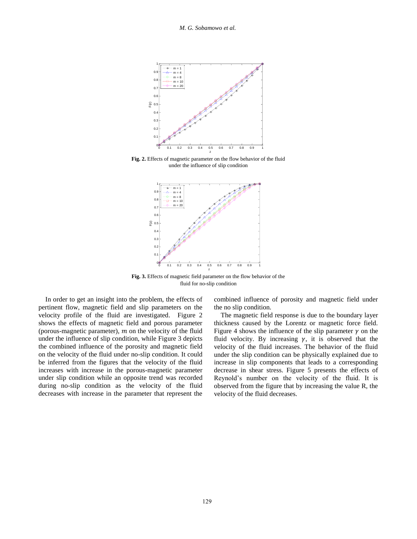

**Fig. 2.** Effects of magnetic parameter on the flow behavior of the fluid under the influence of slip condition



**Fig. 3.** Effects of magnetic field parameter on the flow behavior of the fluid for no-slip condition

 In order to get an insight into the problem, the effects of pertinent flow, magnetic field and slip parameters on the velocity profile of the fluid are investigated. Figure 2 shows the effects of magnetic field and porous parameter (porous-magnetic parameter),  $m$  on the velocity of the fluid under the influence of slip condition, while Figure 3 depicts the combined influence of the porosity and magnetic field on the velocity of the fluid under no-slip condition. It could be inferred from the figures that the velocity of the fluid increases with increase in the porous-magnetic parameter under slip condition while an opposite trend was recorded during no-slip condition as the velocity of the fluid decreases with increase in the parameter that represent the

combined influence of porosity and magnetic field under the no slip condition.

 The magnetic field response is due to the boundary layer thickness caused by the Lorentz or magnetic force field. Figure 4 shows the influence of the slip parameter  $\gamma$  on the fluid velocity. By increasing  $\gamma$ , it is observed that the velocity of the fluid increases. The behavior of the fluid under the slip condition can be physically explained due to increase in slip components that leads to a corresponding decrease in shear stress. Figure 5 presents the effects of Reynold's number on the velocity of the fluid. It is observed from the figure that by increasing the value R, the velocity of the fluid decreases.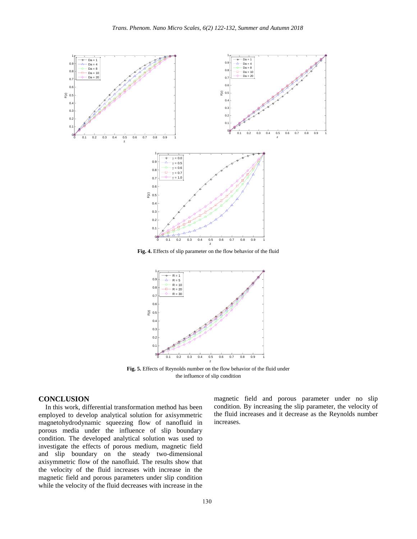

**Fig. 4.** Effects of slip parameter on the flow behavior of the fluid



**Fig. 5.** Effects of Reynolds number on the flow behavior of the fluid under the influence of slip condition

## **CONCLUSION**

 In this work, differential transformation method has been employed to develop analytical solution for axisymmetric magnetohydrodynamic squeezing flow of nanofluid in porous media under the influence of slip boundary condition. The developed analytical solution was used to investigate the effects of porous medium, magnetic field and slip boundary on the steady two-dimensional axisymmetric flow of the nanofluid. The results show that the velocity of the fluid increases with increase in the magnetic field and porous parameters under slip condition while the velocity of the fluid decreases with increase in the

magnetic field and porous parameter under no slip condition. By increasing the slip parameter, the velocity of the fluid increases and it decrease as the Reynolds number increases.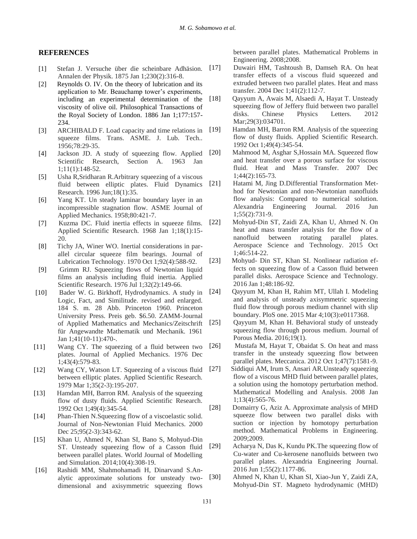# **REFERENCES**

- [1] Stefan J. Versuche über die scheinbare Adhäsion. Annalen der Physik. 1875 Jan 1;230(2):316-8.
- [2] Reynolds O. IV. On the theory of lubrication and its application to Mr. Beauchamp tower's experiments, including an experimental determination of the viscosity of olive oil. Philosophical Transactions of the Royal Society of London. 1886 Jan 1;177:157- 234.
- [3] ARCHIBALD F. Load capacity and time relations in [19] squeeze films. Trans. ASME. J. Lub. Tech.. 1956;78:29-35.
- [4] Jackson JD. A study of squeezing flow. Applied Scientific Research, Section A. 1963 Jan 1;11(1):148-52.
- [5] Usha R,Sridharan R.Arbitrary squeezing of a viscous fluid between elliptic plates. Fluid Dynamics [21] Research. 1996 Jun;18(1):35.
- [6] Yang KT. Un steady laminar boundary layer in an incompressible stagnation flow. ASME Journal of Applied Mechanics. 1958;80:421-7.
- [7] Kuzma DC. Fluid inertia effects in squeeze films. Applied Scientific Research. 1968 Jan 1;18(1):15- 20.
- [8] Tichy JA, Winer WO. Inertial considerations in parallel circular squeeze film bearings. Journal of Lubrication Technology. 1970 Oct 1;92(4):588-92.
- [9] Grimm RJ. Squeezing flows of Newtonian liquid films an analysis including fluid inertia. Applied Scientific Research. 1976 Jul 1;32(2):149-66.
- [10] Bader W. G. Birkhoff, Hydrodynamics. A study in Logic, Fact, and Similitude. revised and enlarged. 184 S. m. 28 Abb. Princeton 1960. Princeton University Press. Preis geb. \$6.50. ZAMM‐Journal of Applied Mathematics and Mechanics/Zeitschrift für Angewandte Mathematik und Mechanik. 1961 Jan 1;41(10‐11):470-.
- [11] Wang CY. The squeezing of a fluid between two plates. Journal of Applied Mechanics. 1976 Dec 1;43(4):579-83.
- [12] Wang CY, Watson LT. Squeezing of a viscous fluid [27] between elliptic plates. Applied Scientific Research. 1979 Mar 1;35(2-3):195-207.
- [13] Hamdan MH, Barron RM. Analysis of the squeezing flow of dusty fluids. Applied Scientific Research. 1992 Oct 1;49(4):345-54.
- [14] Phan-Thien N.Squeezing flow of a viscoelastic solid. Journal of Non-Newtonian Fluid Mechanics. 2000 Dec 25;95(2-3):343-62.
- [15] Khan U, Ahmed N, Khan SI, Bano S, Mohyud-Din ST. Unsteady squeezing flow of a Casson fluid [29] between parallel plates. World Journal of Modelling and Simulation. 2014;10(4):308-19.
- [16] Rashidi MM, Shahmohamadi H, Dinarvand S.Analytic approximate solutions for unsteady twodimensional and axisymmetric squeezing flows

between parallel plates. Mathematical Problems in Engineering. 2008;2008.

- [17] Duwairi HM, Tashtoush B, Damseh RA. On heat transfer effects of a viscous fluid squeezed and extruded between two parallel plates. Heat and mass transfer. 2004 Dec 1;41(2):112-7.
- [18] Qayyum A, Awais M, Alsaedi A, Hayat T. Unsteady squeezing flow of Jeffery fluid between two parallel disks. Chinese Physics Letters. 2012 Mar; 29(3): 034701.
	- Hamdan MH, Barron RM. Analysis of the squeezing flow of dusty fluids. Applied Scientific Research. 1992 Oct 1;49(4):345-54.
- [20] Mahmood M, Asghar S,Hossain MA. Squeezed flow and heat transfer over a porous surface for viscous fluid. Heat and Mass Transfer. 2007 Dec 1;44(2):165-73.
	- Hatami M, Jing D.Differential Transformation Method for Newtonian and non-Newtonian nanofluids flow analysis: Compared to numerical solution. Alexandria Engineering Journal. 2016 Jun 1;55(2):731-9.
- [22] Mohyud-Din ST, Zaidi ZA, Khan U, Ahmed N. On heat and mass transfer analysis for the flow of a nanofluid between rotating parallel plates. Aerospace Science and Technology. 2015 Oct 1;46:514-22.
- [23] Mohyud- Din ST, Khan SI. Nonlinear radiation effects on squeezing flow of a Casson fluid between parallel disks. Aerospace Science and Technology. 2016 Jan 1;48:186-92.
- [24] Qayyum M, Khan H, Rahim MT, Ullah I. Modeling and analysis of unsteady axisymmetric squeezing fluid flow through porous medium channel with slip boundary. PloS one. 2015 Mar 4;10(3):e0117368.
- [25] Qayyum M, Khan H. Behavioral study of unsteady squeezing flow through porous medium. Journal of Porous Media. 2016;19(1).
- [26] Mustafa M, Hayat T, Obaidat S. On heat and mass transfer in the unsteady squeezing flow between parallel plates. Meccanica. 2012 Oct 1;47(7):1581-9.
	- Siddiqui AM, Irum S, Ansari AR.Unsteady squeezing flow of a viscous MHD fluid between parallel plates, a solution using the homotopy perturbation method. Mathematical Modelling and Analysis. 2008 Jan 1;13(4):565-76.
- [28] Domairry G, Aziz A. Approximate analysis of MHD squeeze flow between two parallel disks with suction or injection by homotopy perturbation method. Mathematical Problems in Engineering. 2009;2009.
- Acharya N, Das K, Kundu PK. The squeezing flow of Cu-water and Cu-kerosene nanofluids between two parallel plates. Alexandria Engineering Journal. 2016 Jun 1;55(2):1177-86.
- [30] Ahmed N, Khan U, Khan SI, Xiao-Jun Y, Zaidi ZA, Mohyud-Din ST. Magneto hydrodynamic (MHD)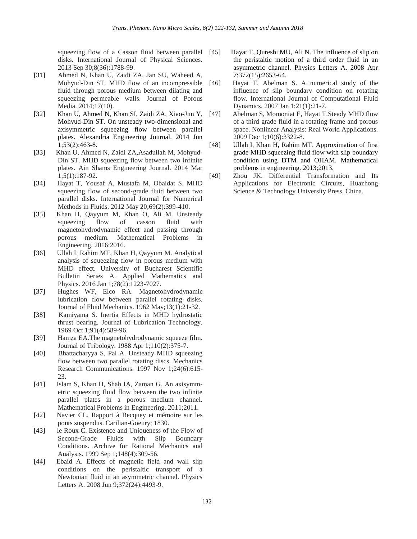squeezing flow of a Casson fluid between parallel [45] disks. International Journal of Physical Sciences. 2013 Sep 30;8(36):1788-99.

- [31] Ahmed N, Khan U, Zaidi ZA, Jan SU, Waheed A, Mohyud-Din ST. MHD flow of an incompressible [46] fluid through porous medium between dilating and squeezing permeable walls. Journal of Porous Media. 2014;17(10).
- [32] Khan U, Ahmed N, Khan SI, Zaidi ZA, Xiao-Jun Y, Mohyud-Din ST. On unsteady two-dimensional and axisymmetric squeezing flow between parallel plates. Alexandria Engineering Journal. 2014 Jun 1;53(2):463-8.
- [33] Khan U, Ahmed N, Zaidi ZA,Asadullah M, Mohyud-Din ST. MHD squeezing flow between two infinite plates. Ain Shams Engineering Journal. 2014 Mar 1;5(1):187-92.
- [34] Hayat T, Yousaf A, Mustafa M, Obaidat S. MHD squeezing flow of second‐grade fluid between two parallel disks. International Journal for Numerical Methods in Fluids. 2012 May 20;69(2):399-410.
- [35] Khan H, Qayyum M, Khan O, Ali M. Unsteady squeezing flow of casson fluid with magnetohydrodynamic effect and passing through porous medium. Mathematical Problems in Engineering. 2016;2016.
- [36] Ullah I, Rahim MT, Khan H, Qayyum M. Analytical analysis of squeezing flow in porous medium with MHD effect. University of Bucharest Scientific Bulletin Series A. Applied Mathematics and Physics. 2016 Jan 1;78(2):1223-7027.
- [37] Hughes WF, Elco RA. Magnetohydrodynamic lubrication flow between parallel rotating disks. Journal of Fluid Mechanics. 1962 May;13(1):21-32.
- [38] Kamiyama S. Inertia Effects in MHD hydrostatic thrust bearing. Journal of Lubrication Technology. 1969 Oct 1;91(4):589-96.
- [39] Hamza EA.The magnetohydrodynamic squeeze film. Journal of Tribology. 1988 Apr 1;110(2):375-7.
- [40] Bhattacharyya S, Pal A. Unsteady MHD squeezing flow between two parallel rotating discs. Mechanics Research Communications. 1997 Nov 1;24(6):615- 23.
- [41] Islam S, Khan H, Shah IA, Zaman G. An axisymmetric squeezing fluid flow between the two infinite parallel plates in a porous medium channel. Mathematical Problems in Engineering. 2011;2011.
- [42] Navier CL. Rapport à Becquey et mémoire sur les ponts suspendus. Carilian-Goeury; 1830.
- [43] le Roux C. Existence and Uniqueness of the Flow of Second-Grade Fluids with Slip Boundary Conditions. Archive for Rational Mechanics and Analysis. 1999 Sep 1;148(4):309-56.
- [44] Ebaid A. Effects of magnetic field and wall slip conditions on the peristaltic transport of a Newtonian fluid in an asymmetric channel. Physics Letters A. 2008 Jun 9;372(24):4493-9.
- Hayat T, Qureshi MU, Ali N. The influence of slip on the peristaltic motion of a third order fluid in an asymmetric channel. Physics Letters A. 2008 Apr 7;372(15):2653-64.
- Hayat T, Abelman S. A numerical study of the influence of slip boundary condition on rotating flow. International Journal of Computational Fluid Dynamics. 2007 Jan 1;21(1):21-7.
- [47] Abelman S, Momoniat E, Hayat T.Steady MHD flow of a third grade fluid in a rotating frame and porous space. Nonlinear Analysis: Real World Applications. 2009 Dec 1;10(6):3322-8.
- [48] Ullah I, Khan H, Rahim MT. Approximation of first grade MHD squeezing fluid flow with slip boundary condition using DTM and OHAM. Mathematical problems in engineering. 2013;2013.
- [49] Zhou JK. Differential Transformation and Its Applications for Electronic Circuits, Huazhong Science & Technology University Press, China.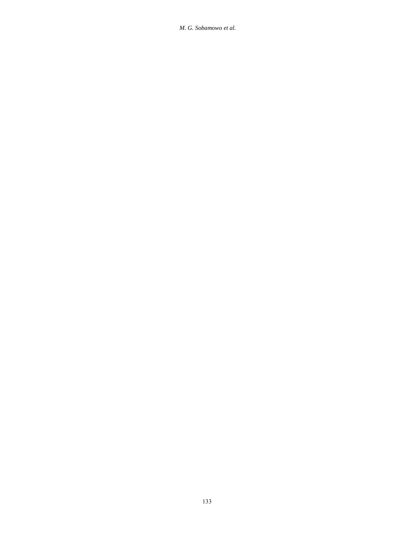*M. G. Sobamowo et al.*